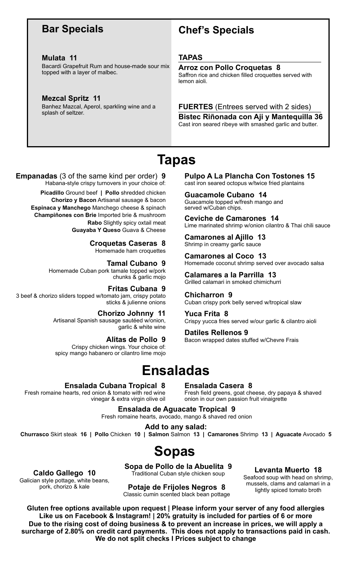### **Bar Specials**

#### **Mulata 11**

Bacardi Grapefruit Rum and house-made sour mix topped with a layer of malbec.

#### **Mezcal Spritz 11**

Banhez Mazcal, Aperol, sparkling wine and a splash of seltzer.

### **Chef's Specials**

#### **TAPAS**

#### **Arroz con Pollo Croquetas 8**

Saffron rice and chicken filled croquettes served with lemon aioli.

#### **FUERTES** (Entrees served with 2 sides)

**Bistec Riñonada con Aji y Mantequilla 36** Cast iron seared ribeye with smashed garlic and butter.

# **Tapas**

### **Empanadas** (3 of the same kind per order) **9**

Habana-style crispy turnovers in your choice of: **Picadillo** Ground beef **| Pollo** shredded chicken **Chorizo y Bacon** Artisanal sausage & bacon **Espinaca y Manchego** Manchego cheese & spinach **Champiñones con Brie** Imported brie & mushroom **Rabo** Slightly spicy oxtail meat **Guayaba Y Queso** Guava & Cheese

**Croquetas Caseras 8**

Homemade ham croquettes

#### **Tamal Cubano 9**

Homemade Cuban pork tamale topped w/pork chunks & garlic mojo

#### **Fritas Cubana 9**

3 beef & chorizo sliders topped w/tomato jam, crispy potato sticks & julienne onions

> **Chorizo Johnny 11** Artisanal Spanish sausage sautéed w/onion, garlic & white wine

**Alitas de Pollo 9** Crispy chicken wings. Your choice of: spicy mango habanero or cilantro lime mojo

#### **Pulpo A La Plancha Con Tostones 15**  cast iron seared octopus w/twice fried plantains

**Guacamole Cubano 14**  Guacamole topped w/fresh mango and served w/Cuban chips.

**Ceviche de Camarones 14**  Lime marinated shrimp w/onion cilantro & Thai chili sauce

**Camarones al Ajillo 13**  Shrimp in creamy garlic sauce

**Camarones al Coco 13**  Homemade coconut shrimp served over avocado salsa

**Calamares a la Parrilla 13**  Grilled calamari in smoked chimichurri

**Chicharron 9**  Cuban crispy pork belly served w/tropical slaw

**Yuca Frita 8**  Crispy yucca fries served w/our garlic & cilantro aioli

**Datiles Rellenos 9**  Bacon wrapped dates stuffed w/Chevre Frais

# **Ensaladas**

#### **Ensalada Cubana Tropical 8**

Fresh romaine hearts, red onion & tomato with red wine vinegar & extra virgin olive oil **Ensalada Casera 8**

Fresh field greens, goat cheese, dry papaya & shaved onion in our own passion fruit vinaigrette

**Ensalada de Aguacate Tropical 9** Fresh romaine hearts, avocado, mango & shaved red onion

**Add to any salad: Churrasco** Skirt steak **16 | Pollo** Chicken **10 | Salmon** Salmon **13 | Camarones** Shrimp **13 | Aguacate** Avocado **5**

# **Sopas**

**Caldo Gallego 10**  Galician style pottage, white beans, pork, chorizo & kale

**Sopa de Pollo de la Abuelita 9**  Traditional Cuban style chicken soup

**Potaje de Frijoles Negros 8**  Classic cumin scented black bean pottage

**Levanta Muerto 18**  Seafood soup with head on shrimp, mussels, clams and calamari in a lightly spiced tomato broth

**Gluten free options available upon request | Please inform your server of any food allergies Like us on Facebook & Instagram! | 20% gratuity is included for parties of 6 or more Due to the rising cost of doing business & to prevent an increase in prices, we will apply a surcharge of 2.80% on credit card payments. This does not apply to transactions paid in cash. We do not split checks I Prices subject to change**